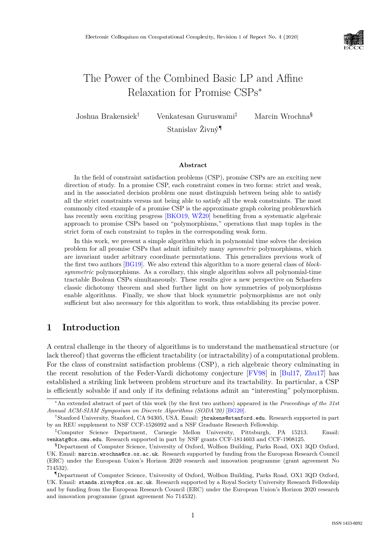

# The Power of the Combined Basic LP and Affine Relaxation for Promise CSPs<sup>∗</sup>

Joshua Brakensiek† Venkatesan Guruswami‡ Marcin Wrochna§

Stanislav Živný¶

#### **Abstract**

In the field of constraint satisfaction problems (CSP), promise CSPs are an exciting new direction of study. In a promise CSP, each constraint comes in two forms: strict and weak, and in the associated decision problem one must distinguish between being able to satisfy all the strict constraints versus not being able to satisfy all the weak constraints. The most commonly cited example of a promise CSP is the approximate graph coloring problemwhich has recently seen exciting progress [\[BKO19,](#page--1-0) [WŽ20\]](#page--1-1) benefiting from a systematic algebraic approach to promise CSPs based on "polymorphisms," operations that map tuples in the strict form of each constraint to tuples in the corresponding weak form.

In this work, we present a simple algorithm which in polynomial time solves the decision problem for all promise CSPs that admit infinitely many *symmetric* polymorphisms, which are invariant under arbitrary coordinate permutations. This generalizes previous work of the first two authors [\[BG19\]](#page--1-2). We also extend this algorithm to a more general class of *blocksymmetric* polymorphisms. As a corollary, this single algorithm solves all polynomial-time tractable Boolean CSPs simultaneously. These results give a new perspective on Schaefers classic dichotomy theorem and shed further light on how symmetries of polymorphisms enable algorithms. Finally, we show that block symmetric polymorphisms are not only sufficient but also necessary for this algorithm to work, thus establishing its precise power.

# **1 Introduction**

A central challenge in the theory of algorithms is to understand the mathematical structure (or lack thereof) that governs the efficient tractability (or intractability) of a computational problem. For the class of constraint satisfaction problems (CSP), a rich algebraic theory culminating in the recent resolution of the Feder-Vardi dichotomy conjecture [\[FV98\]](#page--1-3) in [\[Bul17,](#page--1-4) [Zhu17\]](#page--1-5) has established a striking link between problem structure and its tractability. In particular, a CSP is efficiently solvable if and only if its defining relations admit an "interesting" polymorphism.

<sup>∗</sup>An extended abstract of part of this work (by the first two authors) appeared in the *Proceedings of the 31st Annual ACM-SIAM Symposium on Discrete Algorithms (SODA'20)* [\[BG20\]](#page--1-6).

<sup>†</sup>Stanford University, Stanford, CA 94305, USA. Email: jbrakens@stanford.edu. Research supported in part by an REU supplement to NSF CCF-1526092 and a NSF Graduate Research Fellowship.

<sup>‡</sup>Computer Science Department, Carnegie Mellon University, Pittsburgh, PA 15213. Email: venkatg@cs.cmu.edu. Research supported in part by NSF grants CCF-1814603 and CCF-1908125.

<sup>§</sup>Department of Computer Science, University of Oxford, Wolfson Building, Parks Road, OX1 3QD Oxford, UK. Email: marcin.wrochna@cs.ox.ac.uk. Research supported by funding from the European Research Council (ERC) under the European Union's Horizon 2020 research and innovation programme (grant agreement No 714532).

<sup>¶</sup>Department of Computer Science, University of Oxford, Wolfson Building, Parks Road, OX1 3QD Oxford, UK. Email: standa.zivny@cs.ox.ac.uk. Research supported by a Royal Society University Research Fellowship and by funding from the European Research Council (ERC) under the European Union's Horizon 2020 research and innovation programme (grant agreement No 714532).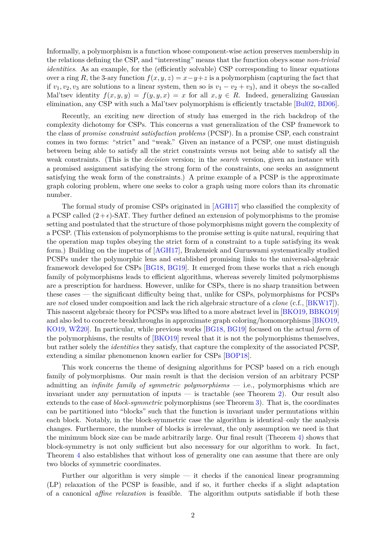Informally, a polymorphism is a function whose component-wise action preserves membership in the relations defining the CSP, and "interesting" means that the function obeys some *non-trivial identities*. As an example, for the (efficiently solvable) CSP corresponding to linear equations over a ring R, the 3-ary function  $f(x, y, z) = x - y + z$  is a polymorphism (capturing the fact that if  $v_1, v_2, v_3$  are solutions to a linear system, then so is  $v_1 - v_2 + v_3$ , and it obeys the so-called Mal'tsev identity  $f(x, y, y) = f(y, y, x) = x$  for all  $x, y \in R$ . Indeed, generalizing Gaussian elimination, any CSP with such a Mal'tsev polymorphism is efficiently tractable [\[Bul02,](#page-15-0) [BD06\]](#page-15-1).

Recently, an exciting new direction of study has emerged in the rich backdrop of the complexity dichotomy for CSPs. This concerns a vast generalization of the CSP framework to the class of *promise constraint satisfaction problems* (PCSP). In a promise CSP, each constraint comes in two forms: "strict" and "weak." Given an instance of a PCSP, one must distinguish between being able to satisfy all the strict constraints versus not being able to satisfy all the weak constraints. (This is the *decision* version; in the *search* version, given an instance with a promised assignment satisfying the strong form of the constraints, one seeks an assignment satisfying the weak form of the constraints.) A prime example of a PCSP is the approximate graph coloring problem, where one seeks to color a graph using more colors than its chromatic number.

The formal study of promise CSPs originated in [\[AGH17\]](#page-15-2) who classified the complexity of a PCSP called  $(2 + \epsilon)$ -SAT. They further defined an extension of polymorphisms to the promise setting and postulated that the structure of those polymorphisms might govern the complexity of a PCSP. (This extension of polymorphisms to the promise setting is quite natural, requiring that the operation map tuples obeying the strict form of a constraint to a tuple satisfying its weak form.) Building on the impetus of [\[AGH17\]](#page-15-2), Brakensiek and Guruswami systematically studied PCSPs under the polymorphic lens and established promising links to the universal-algebraic framework developed for CSPs [\[BG18,](#page-15-3) [BG19\]](#page-15-4). It emerged from these works that a rich enough family of polymorphisms leads to efficient algorithms, whereas severely limited polymorphisms are a prescription for hardness. However, unlike for CSPs, there is no sharp transition between these cases — the significant difficulty being that, unlike for CSPs, polymorphisms for PCSPs are *not* closed under composition and lack the rich algebraic structure of a *clone* (c.f., [\[BKW17\]](#page-15-5)). This nascent algebraic theory for PCSPs was lifted to a more abstract level in [\[BKO19,](#page-15-6) [BBKO19\]](#page-15-7) and also led to concrete breakthroughs in approximate graph coloring/homomorphisms [\[BKO19,](#page-15-6) [KO19,](#page--1-7) [WŽ20\]](#page--1-1). In particular, while previous works [\[BG18,](#page-15-3) [BG19\]](#page-15-4) focused on the actual *form* of the polymorphisms, the results of [\[BKO19\]](#page-15-6) reveal that it is not the polymorphisms themselves, but rather solely the *identities* they satisfy, that capture the complexity of the associated PCSP, extending a similar phenomenon known earlier for CSPs [\[BOP18\]](#page-15-8).

This work concerns the theme of designing algorithms for PCSP based on a rich enough family of polymorphisms. Our main result is that the decision version of an arbitrary PCSP admitting an *infinite family of symmetric polymorphisms* — i.e., polymorphisms which are invariant under any permutation of inputs — is tractable (see Theorem [2\)](#page-5-0). Our result also extends to the case of *block-symmetric* polymorphisms (see Theorem [3\)](#page-7-0). That is, the coordinates can be partitioned into "blocks" such that the function is invariant under permutations within each block. Notably, in the block-symmetric case the algorithm is identical–only the analysis changes. Furthermore, the number of blocks is irrelevant, the only assumption we need is that the minimum block size can be made arbitrarily large. Our final result (Theorem [4\)](#page-8-0) shows that block-symmetry is not only sufficient but also necessary for our algorithm to work. In fact, Theorem [4](#page-8-0) also establishes that without loss of generality one can assume that there are only two blocks of symmetric coordinates.

Further our algorithm is very simple — it checks if the canonical linear programming (LP) relaxation of the PCSP is feasible, and if so, it further checks if a slight adaptation of a canonical *affine relaxation* is feasible. The algorithm outputs satisfiable if both these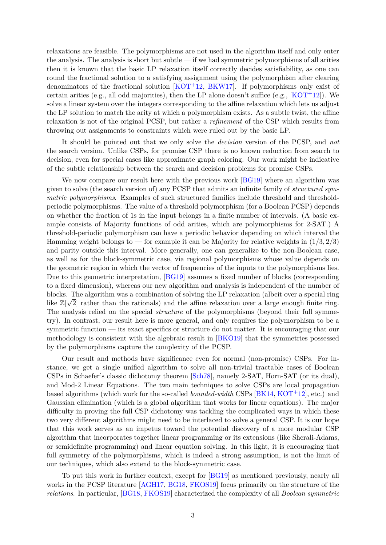relaxations are feasible. The polymorphisms are not used in the algorithm itself and only enter the analysis. The analysis is short but subtle — if we had symmetric polymorphisms of all arities then it is known that the basic LP relaxation itself correctly decides satisfiability, as one can round the fractional solution to a satisfying assignment using the polymorphism after clearing denominators of the fractional solution  $[KOT<sup>+12</sup>, BKW17]$  $[KOT<sup>+12</sup>, BKW17]$  $[KOT<sup>+12</sup>, BKW17]$ . If polymorphisms only exist of certain arities (e.g., all odd majorities), then the LP alone doesn't suffice (e.g.,  $[KOT<sup>+12</sup>]$  $[KOT<sup>+12</sup>]$ ). We solve a linear system over the integers corresponding to the affine relaxation which lets us adjust the LP solution to match the arity at which a polymorphism exists. As a subtle twist, the affine relaxation is not of the original PCSP, but rather a *refinement* of the CSP which results from throwing out assignments to constraints which were ruled out by the basic LP.

It should be pointed out that we only solve the *decision* version of the PCSP, and *not* the search version. Unlike CSPs, for promise CSP there is no known reduction from search to decision, even for special cases like approximate graph coloring. Our work might be indicative of the subtle relationship between the search and decision problems for promise CSPs.

We now compare our result here with the previous work [\[BG19\]](#page-15-4) where an algorithm was given to solve (the search version of) any PCSP that admits an infinite family of *structured symmetric polymorphisms*. Examples of such structured families include threshold and thresholdperiodic polymorphisms. The value of a threshold polymorphism (for a Boolean PCSP) depends on whether the fraction of 1s in the input belongs in a finite number of intervals. (A basic example consists of Majority functions of odd arities, which are polymorphisms for 2-SAT.) A threshold-periodic polymorphism can have a periodic behavior depending on which interval the Hamming weight belongs to — for example it can be Majority for relative weights in  $(1/3, 2/3)$ and parity outside this interval. More generally, one can generalize to the non-Boolean case, as well as for the block-symmetric case, via regional polymorphisms whose value depends on the geometric region in which the vector of frequencies of the inputs to the polymorphisms lies. Due to this geometric interpretation, [\[BG19\]](#page-15-4) assumes a fixed number of blocks (corresponding to a fixed dimension), whereas our new algorithm and analysis is independent of the number of blocks. The algorithm was a combination of solving the LP relaxation (albeit over a special ring  $\overline{K}$ ) like  $\mathbb{Z}[\sqrt{2}]$  rather than the rationals) and the affine relaxation over a large enough finite ring. The analysis relied on the special *structure* of the polymorphisms (beyond their full symmetry). In contrast, our result here is more general, and only requires the polymorphism to be a symmetric function — its exact specifics or structure do not matter. It is encouraging that our methodology is consistent with the algebraic result in [\[BKO19\]](#page-15-6) that the symmetries possessed by the polymorphisms capture the complexity of the PCSP.

Our result and methods have significance even for normal (non-promise) CSPs. For instance, we get a single unified algorithm to solve all non-trivial tractable cases of Boolean CSPs in Schaefer's classic dichotomy theorem [\[Sch78\]](#page--1-9), namely 2-SAT, Horn-SAT (or its dual), and Mod-2 Linear Equations. The two main techniques to solve CSPs are local propagation based algorithms (which work for the so-called *bounded-width* CSPs [\[BK14,](#page-15-9) [KOT](#page--1-8)+12], etc.) and Gaussian elimination (which is a global algorithm that works for linear equations). The major difficulty in proving the full CSP dichotomy was tackling the complicated ways in which these two very different algorithms might need to be interlaced to solve a general CSP. It is our hope that this work serves as an impetus toward the potential discovery of a more modular CSP algorithm that incorporates together linear programming or its extensions (like Sherali-Adams, or semidefinite programming) and linear equation solving. In this light, it is encouraging that full symmetry of the polymorphisms, which is indeed a strong assumption, is not the limit of our techniques, which also extend to the block-symmetric case.

To put this work in further context, except for [\[BG19\]](#page-15-4) as mentioned previously, nearly all works in the PCSP literature [\[AGH17,](#page-15-2) [BG18,](#page-15-3) [FKOS19\]](#page-15-10) focus primarily on the structure of the *relations*. In particular, [\[BG18,](#page-15-3) [FKOS19\]](#page-15-10) characterized the complexity of all *Boolean symmetric*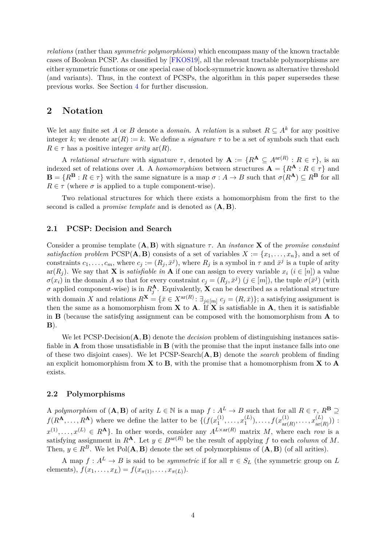*relations* (rather than *symmetric polymorphisms*) which encompass many of the known tractable cases of Boolean PCSP. As classified by [\[FKOS19\]](#page-15-10), all the relevant tractable polymorphisms are either symmetric functions or one special case of block-symmetric known as alternative threshold (and variants). Thus, in the context of PCSPs, the algorithm in this paper supersedes these previous works. See Section [4](#page-7-1) for further discussion.

# **2 Notation**

We let any finite set A or B denote a *domain*. A *relation* is a subset  $R \subseteq A^k$  for any positive integer k; we denote  $ar(R) := k$ . We define a *signature*  $\tau$  to be a set of symbols such that each  $R \in \tau$  has a positive integer *arity* ar(R).

A *relational structure* with signature  $\tau$ , denoted by  $\mathbf{A} := \{R^{\mathbf{A}} \subseteq A^{\text{ar}(R)} : R \in \tau\}$ , is an indexed set of relations over A. A *homomorphism* between structures  $\mathbf{A} = \{R^{\mathbf{A}} : R \in \tau\}$  and  $\mathbf{B} = \{R^{\mathbf{B}} : R \in \tau\}$  with the same signature is a map  $\sigma : A \to B$  such that  $\sigma(R^{\mathbf{A}}) \subset R^{\mathbf{B}}$  for all  $R \in \tau$  (where  $\sigma$  is applied to a tuple component-wise).

Two relational structures for which there exists a homomorphism from the first to the second is called a *promise template* and is denoted as (A, B).

#### **2.1 PCSP: Decision and Search**

Consider a promise template (A, B) with signature τ . An *instance* X of the *promise constaint satisfaction problem* PCSP( $\mathbf{A}, \mathbf{B}$ ) consists of a set of variables  $X := \{x_1, \ldots, x_n\}$ , and a set of constraints  $c_1, \ldots, c_m$ , where  $c_j := (R_j, \bar{x}^j)$ , where  $R_j$  is a symbol in  $\tau$  and  $\bar{x}^j$  is a tuple of arity ar( $R_i$ ). We say that **X** is *satisfiable in* **A** if one can assign to every variable  $x_i$  ( $i \in [n]$ ) a value  $\sigma(x_i)$  in the domain A so that for every constraint  $c_j = (R_j, \bar{x}^j)$   $(j \in [m])$ , the tuple  $\sigma(\bar{x}^j)$  (with  $\sigma$  applied component-wise) is in  $R_j^{\mathbf{A}}$ . Equivalently, **X** can be described as a relational structure with domain X and relations  $R^{\mathbf{X}} = \{ \bar{x} \in X^{\text{ar}(R)} : \exists_{j \in [m]} c_j = (R, \bar{x}) \}$ ; a satisfying assignment is then the same as a homomorphism from  $X$  to  $A$ . If  $X$  is satisfiable in  $A$ , then it is satisfiable in  $\bf{B}$  (because the satisfying assignment can be composed with the homomorphism from  $\bf{A}$  to  $B)$ .

We let PCSP-Decision(A, B) denote the *decision* problem of distinguishing instances satisfiable in A from those unsatisfiable in B (with the promise that the input instance falls into one of these two disjoint cases). We let PCSP-Search(A, B) denote the *search* problem of finding an explicit homomorphism from  $X$  to  $B$ , with the promise that a homomorphism from  $X$  to  $A$ exists.

#### **2.2 Polymorphisms**

A *polymorphism* of  $(A, B)$  of arity  $L \in \mathbb{N}$  is a map  $f : A^L \to B$  such that for all  $R \in \tau$ ,  $R^B \supseteq$  $f(R^{\mathbf{A}}, \ldots, R^{\mathbf{A}})$  where we define the latter to be  $\{f(x_1^{(1)})\}$  $x_1^{(1)}, \ldots, x_1^{(L)}$  $f(x_1^{(L)}), \ldots, f(x_{\text{ar}}^{(1)})$  $x^{(1)}_{\text{ar}(R)}, \ldots, x^{(L)}_{\text{ar}(R)}$  $\binom{L}{\text{ar}(R)}$ ) :  $x^{(1)}, \ldots, x^{(L)} \in R^{\mathbf{A}}$ . In other words, consider any  $A^{L \times ar(R)}$  matrix M, where each row is a satisfying assignment in  $R^{\mathbf{A}}$ . Let  $y \in B^{\text{ar}(R)}$  be the result of applying f to each *column* of M. Then,  $y \in R^B$ . We let Pol( $\mathbf{A}, \mathbf{B}$ ) denote the set of polymorphisms of  $(\mathbf{A}, \mathbf{B})$  (of all arities).

A map  $f: A^L \to B$  is said to be *symmetric* if for all  $\pi \in S_L$  (the symmetric group on L elements),  $f(x_1,...,x_L) = f(x_{\pi(1)},...,x_{\pi(L)})$ .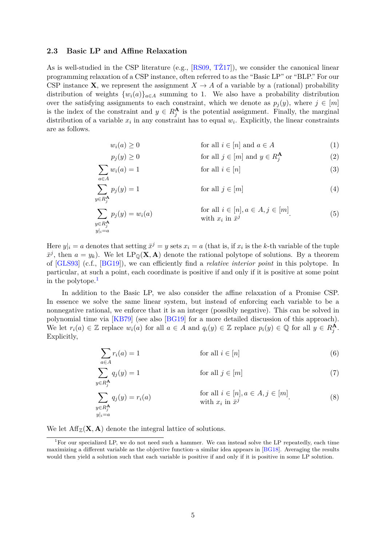#### **2.3 Basic LP and Affine Relaxation**

As is well-studied in the CSP literature (e.g., [\[RS09,](#page--1-10) [TŽ17\]](#page--1-11)), we consider the canonical linear programming relaxation of a CSP instance, often referred to as the "Basic LP" or "BLP." For our CSP instance **X**, we represent the assignment  $X \to A$  of a variable by a (rational) probability distribution of weights  $\{w_i(a)\}_{a\in A}$  summing to 1. We also have a probability distribution over the satisfying assignments to each constraint, which we denote as  $p_j(y)$ , where  $j \in [m]$ is the index of the constraint and  $y \in R_j^{\mathbf{A}}$  is the potential assignment. Finally, the marginal distribution of a variable  $x_i$  in any constraint has to equal  $w_i$ . Explicitly, the linear constraints are as follows.

<span id="page-4-8"></span><span id="page-4-7"></span><span id="page-4-1"></span>
$$
w_i(a) \ge 0 \qquad \text{for all } i \in [n] \text{ and } a \in A \tag{1}
$$

<span id="page-4-5"></span><span id="page-4-3"></span>
$$
p_j(y) \ge 0 \qquad \text{for all } j \in [m] \text{ and } y \in R_j^{\mathbf{A}} \tag{2}
$$

$$
\sum w_i(a) = 1
$$
 for all  $i \in [n]$  (3)

$$
\sum_{y \in R_j^{\mathbf{A}}}^{a \in A} p_j(y) = 1
$$
 for all  $j \in [m]$  (4)

$$
\sum_{\substack{y \in R_j^{\mathbf{A}}} p_j(y) = w_i(a) \qquad \text{for all } i \in [n], a \in A, j \in [m] \\ \text{with } x_i \text{ in } \bar{x}^j \qquad (5)
$$

Here  $y|_i = a$  denotes that setting  $\bar{x}^j = y$  sets  $x_i = a$  (that is, if  $x_i$  is the k-th variable of the tuple  $\bar{x}^j$ , then  $a = y_k$ ). We let  $LP_{\mathbb{Q}}(X, A)$  denote the rational polytope of solutions. By a theorem of [\[GLS93\]](#page--1-12) (c.f., [\[BG19\]](#page-15-4)), we can efficiently find a *relative interior point* in this polytope. In particular, at such a point, each coordinate is positive if and only if it is positive at some point in the polytope.[1](#page-4-0)

In addition to the Basic LP, we also consider the affine relaxation of a Promise CSP. In essence we solve the same linear system, but instead of enforcing each variable to be a nonnegative rational, we enforce that it is an integer (possibly negative). This can be solved in polynomial time via [\[KB79\]](#page--1-13) (see also [\[BG19\]](#page-15-4) for a more detailed discussion of this approach). We let  $r_i(a) \in \mathbb{Z}$  replace  $w_i(a)$  for all  $a \in A$  and  $q_i(y) \in \mathbb{Z}$  replace  $p_i(y) \in \mathbb{Q}$  for all  $y \in R_j^{\mathbf{A}}$ . Explicitly,

<span id="page-4-6"></span><span id="page-4-4"></span><span id="page-4-2"></span>
$$
\sum_{a \in A} r_i(a) = 1 \qquad \text{for all } i \in [n]
$$
 (6)

$$
\sum_{y \in R_j^{\mathbf{A}}} q_j(y) = 1 \qquad \text{for all } j \in [m]
$$
 (7)

$$
\sum_{\substack{y \in R_j^{\mathbf{A}}} g_j(y) = r_i(a) \qquad \text{for all } i \in [n], a \in A, j \in [m] \tag{8}
$$
  
with  $x_i$  in  $\bar{x}^j$  (8)

We let  $\text{Aff}_{\mathbb{Z}}(\mathbf{X}, \mathbf{A})$  denote the integral lattice of solutions.

<span id="page-4-0"></span><sup>&</sup>lt;sup>1</sup>For our specialized LP, we do not need such a hammer. We can instead solve the LP repeatedly, each time maximizing a different variable as the objective function–a similar idea appears in [\[BG18\]](#page-15-3). Averaging the results would then yield a solution such that each variable is positive if and only if it is positive in some LP solution.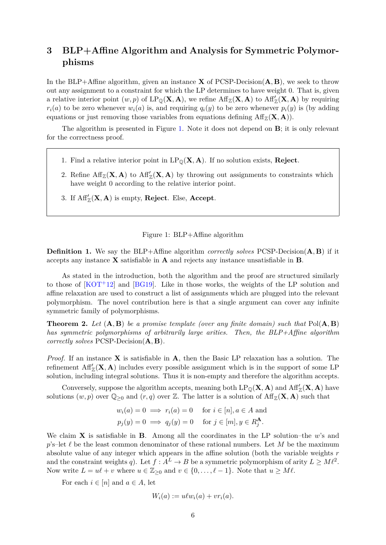# **3 BLP+Affine Algorithm and Analysis for Symmetric Polymorphisms**

In the BLP+Affine algorithm, given an instance **X** of PCSP-Decision $(A, B)$ , we seek to throw out any assignment to a constraint for which the LP determines to have weight 0. That is, given a relative interior point  $(w, p)$  of  $LP_{\mathbb{Q}}(X, A)$ , we refine  $\text{Aff}_{\mathbb{Z}}(X, A)$  to  $\text{Aff}_{\mathbb{Z}}'(X, A)$  by requiring  $r_i(a)$  to be zero whenever  $w_i(a)$  is, and requiring  $q_i(y)$  to be zero whenever  $p_i(y)$  is (by adding equations or just removing those variables from equations defining  $\text{Aff}_{\mathbb{Z}}(\mathbf{X}, \mathbf{A})$ .

The algorithm is presented in Figure [1.](#page-5-1) Note it does not depend on B; it is only relevant for the correctness proof.

- 1. Find a relative interior point in  $LP_{\mathbb{Q}}(X, A)$ . If no solution exists, **Reject**.
- 2. Refine  $\text{Aff}_{\mathbb{Z}}(\mathbf{X}, \mathbf{A})$  to  $\text{Aff}'_{\mathbb{Z}}(\mathbf{X}, \mathbf{A})$  by throwing out assignments to constraints which have weight 0 according to the relative interior point.
- 3. If  $\text{Aff}'_{\mathbb{Z}}(\mathbf{X}, \mathbf{A})$  is empty, **Reject**. Else, **Accept**.

#### <span id="page-5-1"></span>Figure 1: BLP+Affine algorithm

<span id="page-5-2"></span>**Definition 1.** We say the BLP+Affine algorithm *correctly solves* PCSP-Decision(A, B) if it accepts any instance X satisfiable in A and rejects any instance unsatisfiable in B.

As stated in the introduction, both the algorithm and the proof are structured similarly to those of  $[KOT<sup>+</sup>12]$  $[KOT<sup>+</sup>12]$  and  $[BG19]$ . Like in those works, the weights of the LP solution and affine relaxation are used to construct a list of assignments which are plugged into the relevant polymorphism. The novel contribution here is that a single argument can cover any infinite symmetric family of polymorphisms.

<span id="page-5-0"></span>**Theorem 2.** *Let* (A, B) *be a promise template (over any finite domain) such that* Pol(A, B) *has symmetric polymorphisms of arbitrarily large arities. Then, the BLP+Affine algorithm correctly solves* PCSP-Decision(A, B)*.*

*Proof.* If an instance **X** is satisfiable in **A**, then the Basic LP relaxation has a solution. The refinement  $\text{Aff}'_{\mathbb{Z}}(\mathbf{X}, \mathbf{A})$  includes every possible assignment which is in the support of some LP solution, including integral solutions. Thus it is non-empty and therefore the algorithm accepts.

Conversely, suppose the algorithm accepts, meaning both  $\text{LP}_{\mathbb{Q}}(X, A)$  and  $\text{Aff}'_{\mathbb{Z}}(X, A)$  have solutions  $(w, p)$  over  $\mathbb{Q}_{\geq 0}$  and  $(r, q)$  over  $\mathbb{Z}$ . The latter is a solution of  $\text{Aff}_{\mathbb{Z}}(\mathbf{X}, \mathbf{A})$  such that

$$
w_i(a) = 0 \implies r_i(a) = 0 \text{ for } i \in [n], a \in A \text{ and}
$$
  
 $p_j(y) = 0 \implies q_j(y) = 0 \text{ for } j \in [m], y \in R_j^{\mathbf{A}}.$ 

We claim  $X$  is satisfiable in B. Among all the coordinates in the LP solution–the w's and  $p's$ –let  $\ell$  be the least common denominator of these rational numbers. Let M be the maximum absolute value of any integer which appears in the affine solution (both the variable weights  $r$ and the constraint weights q). Let  $f : A^L \to B$  be a symmetric polymorphism of arity  $L \geq M \ell^2$ . Now write  $L = u\ell + v$  where  $u \in \mathbb{Z}_{\geq 0}$  and  $v \in \{0, \ldots, \ell - 1\}$ . Note that  $u \geq M\ell$ .

For each  $i \in [n]$  and  $a \in A$ , let

$$
W_i(a) := u\ell w_i(a) + v r_i(a).
$$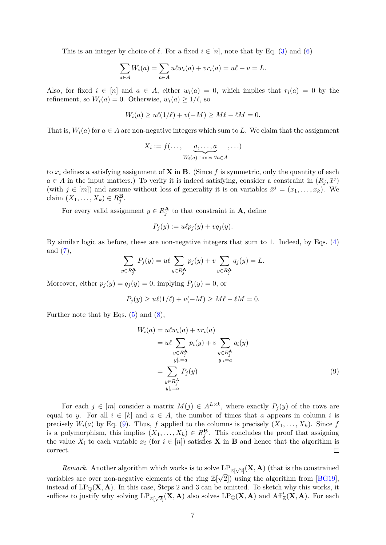This is an integer by choice of  $\ell$ . For a fixed  $i \in [n]$ , note that by Eq. [\(3\)](#page-4-1) and [\(6\)](#page-4-2)

$$
\sum_{a \in A} W_i(a) = \sum_{a \in A} u \ell w_i(a) + v r_i(a) = u \ell + v = L.
$$

Also, for fixed  $i \in [n]$  and  $a \in A$ , either  $w_i(a) = 0$ , which implies that  $r_i(a) = 0$  by the refinement, so  $W_i(a) = 0$ . Otherwise,  $w_i(a) \geq 1/\ell$ , so

$$
W_i(a) \ge u\ell(1/\ell) + v(-M) \ge M\ell - \ell M = 0.
$$

That is,  $W_i(a)$  for  $a \in A$  are non-negative integers which sum to L. We claim that the assignment

$$
X_i := f(\ldots, \underbrace{a, \ldots, a}_{W_i(a) \text{ times } \forall a \in A}, \ldots)
$$

to  $x_i$  defines a satisfying assignment of **X** in **B**. (Since f is symmetric, only the quantity of each  $a \in A$  in the input matters.) To verify it is indeed satisfying, consider a constraint in  $(R_j, \bar{x}^j)$ (with  $j \in [m]$ ) and assume without loss of generality it is on variables  $\bar{x}^j = (x_1, \ldots, x_k)$ . We claim  $(X_1, \ldots, X_k) \in R_j^{\mathbf{B}}$ .

For every valid assignment  $y \in R_j^{\mathbf{A}}$  to that constraint in **A**, define

$$
P_j(y) := u\ell p_j(y) + vq_j(y).
$$

By similar logic as before, these are non-negative integers that sum to 1. Indeed, by Eqs. [\(4\)](#page-4-3) and  $(7),$  $(7),$ 

$$
\sum_{y \in R_j^{\mathbf{A}}} P_j(y) = u\ell \sum_{y \in R_j^{\mathbf{A}}} p_j(y) + v \sum_{y \in R_j^{\mathbf{A}}} q_j(y) = L.
$$

Moreover, either  $p_i(y) = q_i(y) = 0$ , implying  $P_i(y) = 0$ , or

$$
P_j(y) \ge u\ell(1/\ell) + v(-M) \ge M\ell - \ell M = 0.
$$

Further note that by Eqs.  $(5)$  and  $(8)$ ,

<span id="page-6-0"></span>
$$
W_i(a) = u\ell w_i(a) + v r_i(a)
$$
  
\n
$$
= u\ell \sum_{y \in R_1^{\mathbf{A}}} p_i(y) + v \sum_{y \in R_1^{\mathbf{A}}} q_i(y)
$$
  
\n
$$
= \sum_{\substack{y \in R_1^{\mathbf{A}}} P_j(y) \ z = a}} P_j(y)
$$
  
\n(9)

For each  $j \in [m]$  consider a matrix  $M(j) \in A^{L \times k}$ , where exactly  $P_j(y)$  of the rows are equal to y. For all  $i \in [k]$  and  $a \in A$ , the number of times that a appears in column i is precisely  $W_i(a)$  by Eq. [\(9\)](#page-6-0). Thus, f applied to the columns is precisely  $(X_1, \ldots, X_k)$ . Since f is a polymorphism, this implies  $(X_1, \ldots, X_k) \in R_j^{\mathbf{B}}$ . This concludes the proof that assigning the value  $X_i$  to each variable  $x_i$  (for  $i \in [n]$ ) satisfies **X** in **B** and hence that the algorithm is  $\Box$ correct.

*Remark.* Another algorithm which works is to solve  $LP_{\mathbb{Z}[\sqrt{2}]}(\mathbf{X}, \mathbf{A})$  (that is the constrained variables are over non-negative elements of the ring  $\mathbb{Z}[\sqrt{2}]$  using the algorithm from [\[BG19\]](#page-15-4), instead of  $LP_0(X, A)$ . In this case, Steps 2 and 3 can be omitted. To sketch why this works, it suffices to justify why solving  $LP_{\mathbb{Z}[\sqrt{2}]}(X, A)$  also solves  $LP_{\mathbb{Q}}(X, A)$  and  $Aff_{\mathbb{Z}}'(X, A)$ . For each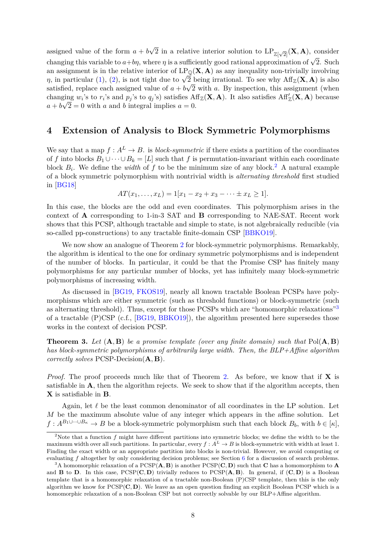assigned value of the form  $a + b$ √  $\overline{2}$  in a relative interior solution to  $\text{LP}_{\mathbb{Z}[\sqrt{2}]}(\mathbf{X}, \mathbf{A})$ , consider changing this variable to  $a+b\eta$ , where  $\eta$  is a sufficiently good rational approximation of  $\sqrt{2}$ . Such an assignment is in the relative interior of  $LP_{\mathbb{Q}}(X, A)$  as any inequality non-trivially involving an assignment is in the relative interior of  $LF_{\mathbb{Q}}(\mathbf{X}, \mathbf{A})$  as any mequality non-triviany involving  $\eta$ , in particular [\(1\)](#page-4-7), [\(2\)](#page-4-8), is not tight due to  $\sqrt{2}$  being irrational. To see why  $\text{Aff}_{\mathbb{Z}}(\mathbf{X}, \mathbf{A})$  satisfied, replace each assigned value of  $a + b\sqrt{2}$  with a. By inspection, this assignment (when changing  $w_i$ 's to  $r_i$ 's and  $p_j$ 's to  $q_j$ 's) satisfies  $\text{Aff}_{\mathbb{Z}}(\mathbf{X}, \mathbf{A})$ . It also satisfies  $\text{Aff}_{\mathbb{Z}}'(\mathbf{X}, \mathbf{A})$  because  $a + b\sqrt{2} = 0$  with a and b integral implies  $a = 0$ .

### <span id="page-7-1"></span>**4 Extension of Analysis to Block Symmetric Polymorphisms**

We say that a map  $f : A^L \to B$ . is *block-symmetric* if there exists a partition of the coordinates of f into blocks  $B_1 \cup \cdots \cup B_k = [L]$  such that f is permutation-invariant within each coordinate block  $B_i$ . We define the *width* of f to be the minimum size of any block.<sup>[2](#page-7-2)</sup> A natural example of a block symmetric polymorphism with nontrivial width is *alternating threshold* first studied in [\[BG18\]](#page-15-3)

$$
AT(x_1, \ldots, x_L) = 1[x_1 - x_2 + x_3 - \cdots \pm x_L \ge 1].
$$

In this case, the blocks are the odd and even coordinates. This polymorphism arises in the context of A corresponding to 1-in-3 SAT and B corresponding to NAE-SAT. Recent work shows that this PCSP, although tractable and simple to state, is not algebraically reducible (via so-called pp-constructions) to any tractable finite-domain CSP [\[BBKO19\]](#page-15-7).

We now show an analogue of Theorem [2](#page-5-0) for block-symmetric polymorphisms. Remarkably, the algorithm is identical to the one for ordinary symmetric polymorphisms and is independent of the number of blocks. In particular, it could be that the Promise CSP has finitely many polymorphisms for any particular number of blocks, yet has infinitely many block-symmetric polymorphisms of increasing width.

As discussed in [\[BG19,](#page-15-4) [FKOS19\]](#page-15-10), nearly all known tractable Boolean PCSPs have polymorphisms which are either symmetric (such as threshold functions) or block-symmetric (such as alternating threshold). Thus, except for those PCSPs which are "homomorphic relaxations"[3](#page-7-3) of a tractable (P)CSP (c.f., [\[BG19,](#page-15-4) [BBKO19\]](#page-15-7)), the algorithm presented here supersedes those works in the context of decision PCSP.

<span id="page-7-0"></span>**Theorem 3.** *Let* (A, B) *be a promise template (over any finite domain) such that* Pol(A, B) *has block-symmetric polymorphisms of arbitrarily large width. Then, the BLP+Affine algorithm correctly solves* PCSP-Decision(A, B)*.*

*Proof.* The proof proceeds much like that of Theorem [2.](#page-5-0) As before, we know that if **X** is satisfiable in A, then the algorithm rejects. We seek to show that if the algorithm accepts, then X is satisfiable in B.

Again, let  $\ell$  be the least common denominator of all coordinates in the LP solution. Let M be the maximum absolute value of any integer which appears in the affine solution. Let  $f: A^{B_1 \cup \cdots \cup B_{\kappa}} \to B$  be a block-symmetric polymorphism such that each block  $B_b$ , with  $b \in [\kappa]$ ,

<span id="page-7-2"></span><sup>&</sup>lt;sup>2</sup>Note that a function f might have different partitions into symmetric blocks; we define the width to be the maximum width over all such partitions. In particular, every  $f : A^L \to B$  is block-symmetric with width at least 1. Finding the exact width or an appropriate partition into blocks is non-trivial. However, we avoid computing or evaluating f altogether by only considering decision problems; see Section [6](#page-11-0) for a discussion of search problems.

<span id="page-7-3"></span><sup>&</sup>lt;sup>3</sup>A homomorphic relaxation of a PCSP( $\bf{A}, \bf{B}$ ) is another PCSP( $\bf{C}, \bf{D}$ ) such that  $\bf{C}$  has a homomorphism to  $\bf{A}$ and **B** to **D**. In this case,  $PCSP(\mathbf{C}, \mathbf{D})$  trivially reduces to  $PCSP(\mathbf{A}, \mathbf{B})$ . In general, if  $(\mathbf{C}, \mathbf{D})$  is a Boolean template that is a homomorphic relaxation of a tractable non-Boolean (P)CSP template, then this is the only algorithm we know for  $PCSP(\mathbf{C}, \mathbf{D})$ . We leave as an open question finding an explicit Boolean PCSP which is a homomorphic relaxation of a non-Boolean CSP but not correctly solvable by our BLP+Affine algorithm.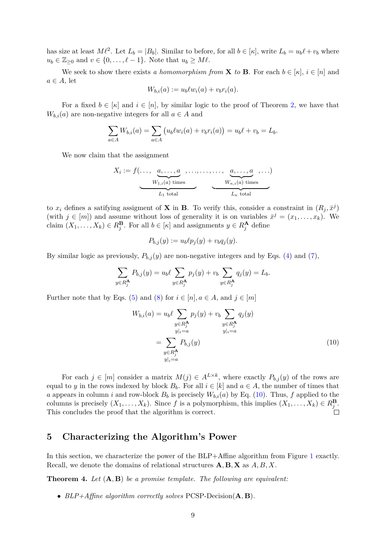has size at least  $M\ell^2$ . Let  $L_b = |B_b|$ . Similar to before, for all  $b \in [\kappa]$ , write  $L_b = u_b\ell + v_b$  where  $u_b \in \mathbb{Z}_{\geq 0}$  and  $v \in \{0, \ldots, \ell - 1\}$ . Note that  $u_b \geq M \ell$ .

We seek to show there exists *a homomorphism from* **X** to **B**. For each  $b \in [\kappa], i \in [n]$  and  $a \in A$ , let

$$
W_{b,i}(a) := u_b \ell w_i(a) + v_b r_i(a).
$$

For a fixed  $b \in [\kappa]$  and  $i \in [n]$ , by similar logic to the proof of Theorem [2,](#page-5-0) we have that  $W_{b,i}(a)$  are non-negative integers for all  $a \in A$  and

$$
\sum_{a \in A} W_{b,i}(a) = \sum_{a \in A} (u_b \ell w_i(a) + v_b r_i(a)) = u_b \ell + v_b = L_b.
$$

We now claim that the assignment

$$
X_i := f(\ldots, \underbrace{a, \ldots, a}_{W_{1,i}(a) \text{ times}}, \ldots, \ldots, \ldots, a}_{L_1 \text{ total}}, \ldots)
$$

to  $x_i$  defines a satifying assigment of **X** in **B**. To verify this, consider a constraint in  $(R_j, \bar{x}^j)$ (with  $j \in [m]$ ) and assume without loss of generality it is on variables  $\bar{x}^j = (x_1, \ldots, x_k)$ . We claim  $(X_1, \ldots, X_k) \in R_j^{\mathbf{B}}$ . For all  $b \in [\kappa]$  and assignments  $y \in R_j^{\mathbf{A}}$  define

$$
P_{b,j}(y) := u_b \ell p_j(y) + v_b q_j(y).
$$

By similar logic as previously,  $P_{b,j}(y)$  are non-negative integers and by Eqs. [\(4\)](#page-4-3) and [\(7\)](#page-4-4),

$$
\sum_{y \in R_j^{\mathbf{A}}} P_{b,j}(y) = u_b \ell \sum_{y \in R_j^{\mathbf{A}}} p_j(y) + v_b \sum_{y \in R_j^{\mathbf{A}}} q_j(y) = L_b.
$$

Further note that by Eqs. [\(5\)](#page-4-5) and [\(8\)](#page-4-6) for  $i \in [n], a \in A$ , and  $j \in [m]$ 

<span id="page-8-1"></span>
$$
W_{b,i}(a) = u_b \ell \sum_{\substack{y \in R_j^{\mathbf{A}}} p_j(y) + v_b \sum_{\substack{y \in R_j^{\mathbf{A}}} q_j(y) \\ y|_i = a}} q_j(y)
$$
  
= 
$$
\sum_{\substack{y \in R_j^{\mathbf{A}}} p_{b,j}(y) \\ y|_i = a}} P_{b,j}(y)
$$
(10)

For each  $j \in [m]$  consider a matrix  $M(j) \in A^{L \times k}$ , where exactly  $P_{b,j}(y)$  of the rows are equal to y in the rows indexed by block  $B_b$ . For all  $i \in [k]$  and  $a \in A$ , the number of times that a appears in column i and row-block  $B_b$  is precisely  $W_{b,i}(a)$  by Eq. [\(10\)](#page-8-1). Thus, f applied to the columns is precisely  $(X_1, ..., X_k)$ . Since f is a polymorphism, this implies  $(X_1, ..., X_k) \in R_j^{\mathbf{B}}$ . This concludes the proof that the algorithm is correct.

# <span id="page-8-2"></span>**5 Characterizing the Algorithm's Power**

In this section, we characterize the power of the BLP+Affine algorithm from Figure [1](#page-5-1) exactly. Recall, we denote the domains of relational structures  $\mathbf{A}, \mathbf{B}, \mathbf{X}$  as  $A, B, X$ .

<span id="page-8-0"></span>**Theorem 4.** *Let* (A, B) *be a promise template. The following are equivalent:*

• *BLP+Affine algorithm correctly solves* PCSP-Decision(A, B)*.*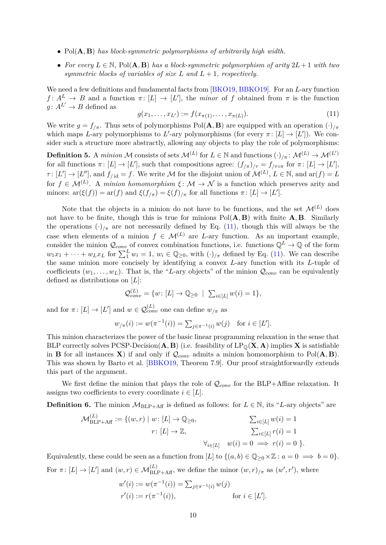- Pol(A, B) *has block-symmetric polymorphisms of arbitrarily high width.*
- *For every* L ∈ N*,* Pol(A, B) *has a block-symmetric polymorphism of arity* 2L+ 1 *with two symmetric blocks of variables of size*  $L$  *and*  $L + 1$ *, respectively.*

We need a few definitions and fundamental facts from [\[BKO19,](#page-15-6) [BBKO19\]](#page-15-7). For an L-ary function  $f: A^L \to B$  and a function  $\pi: [L] \to [L']$ , the *minor* of f obtained from  $\pi$  is the function  $g: A^{L'} \to B$  defined as

<span id="page-9-0"></span>
$$
g(x_1, \dots, x_{L'}) := f(x_{\pi(1)}, \dots, x_{\pi(L)}).
$$
\n(11)

We write  $g = f_{\pi}$ . Thus sets of polymorphisms Pol(**A**, **B**) are equipped with an operation  $(\cdot)_{\pi}$ which maps L-ary polymorphisms to L'-ary polymorphisms (for every  $\pi: [L] \to [L'])$ ). We consider such a structure more abstractly, allowing any objects to play the role of polymorphisms:

**Definition 5.** A *minion* M consists of sets  $\mathcal{M}^{(L)}$  for  $L \in \mathbb{N}$  and functions  $(\cdot)_{/\pi} \colon \mathcal{M}^{(L)} \to \mathcal{M}^{(L')}$ for all functions  $\pi: [L] \to [L']$ , such that compositions agree:  $(f_{/\pi})_{/\tau} = f_{/\tau \circ \pi}$  for  $\pi: [L] \to [L']$ ,  $\tau \colon [L'] \to [L'']$ , and  $f_{/\mathrm{id}} = f$ . We write M for the disjoint union of  $\mathcal{M}^{(L)}$ ,  $L \in \mathbb{N}$ , and  $\text{ar}(f) = L$ for  $f \in \mathcal{M}^{(L)}$ . A *minion homomorphism*  $\xi : \mathcal{M} \to \mathcal{N}$  is a function which preserves arity and minors:  $\operatorname{ar}(\xi(f)) = \operatorname{ar}(f)$  and  $\xi(f_{/\pi}) = \xi(f)_{/\pi}$  for all functions  $\pi: [L] \to [L']$ .

Note that the objects in a minion do not have to be functions, and the set  $\mathcal{M}^{(L)}$  does not have to be finite, though this is true for minions  $Pol(A, B)$  with finite  $A, B$ . Similarly the operations  $(\cdot)_{\pi}$  are not necessarily defined by Eq. [\(11\)](#page-9-0), though this will always be the case when elements of a minion  $f \in \mathcal{M}^{(L)}$  are L-ary function. As an important example, consider the minion  $\mathcal{Q}_{conv}$  of convex combination functions, i.e. functions  $\mathbb{Q}^L \to \mathbb{Q}$  of the form  $w_1x_1 + \cdots + w_Lx_L$  for  $\sum_1^L w_i = 1$ ,  $w_i \in \mathbb{Q}_{\geq 0}$ , with  $(\cdot)_{/\pi}$  defined by Eq. [\(11\)](#page-9-0). We can describe the same minion more concisely by identifying a convex L-ary function with its L-tuple of coefficients  $(w_1, \ldots, w_L)$ . That is, the "L-ary objects" of the minion  $\mathcal{Q}_{conv}$  can be equivalently defined as distributions on  $[L]$ :

$$
\mathcal{Q}_{conv}^{(L)} = \{w \colon [L] \to \mathbb{Q}_{\geq 0} \mid \sum_{i \in [L]} w(i) = 1\},\
$$

and for  $\pi: [L] \to [L']$  and  $w \in \mathcal{Q}_{conv}^{(L)}$  one can define  $w_{/\pi}$  as

$$
w_{/\pi}(i) := w(\pi^{-1}(i)) = \sum_{j \in \pi^{-1}(i)} w(j)
$$
 for  $i \in [L']$ .

This minion characterizes the power of the basic linear programming relaxation in the sense that BLP correctly solves PCSP-Decision( $\bf{A}, \bf{B}$ ) (i.e. feasibility of  $LP_0(\bf{X}, \bf{A})$  implies  $\bf{X}$  is satisfiable in **B** for all instances **X**) if and only if  $Q_{conv}$  admits a minion homomorphism to Pol( $A, B$ ). This was shown by Barto et al. [\[BBKO19,](#page-15-7) Theorem 7.9]. Our proof straightforwardly extends this part of the argument.

We first define the minion that plays the role of  $\mathcal{Q}_{conv}$  for the BLP+Affine relaxation. It assigns two coefficients to every coordinate  $i \in [L]$ .

<span id="page-9-1"></span>**Definition 6.** The minion  $M_{BLP+Aff}$  is defined as follows: for  $L \in \mathbb{N}$ , its "L-ary objects" are

$$
\mathcal{M}_{\text{BLP+Aff}}^{(L)} := \{(w, r) \mid w \colon [L] \to \mathbb{Q}_{\geq 0}, \qquad \sum_{i \in [L]} w(i) = 1
$$
  

$$
r \colon [L] \to \mathbb{Z}, \qquad \sum_{i \in [L]} r(i) = 1
$$
  

$$
\forall_{i \in [L]} \quad w(i) = 0 \implies r(i) = 0 \}.
$$

Equivalently, these could be seen as a function from [L] to  $\{(a, b) \in \mathbb{Q}_{\geq 0} \times \mathbb{Z} : a = 0 \implies b = 0\}.$ For  $\pi: [L] \to [L']$  and  $(w, r) \in \mathcal{M}_{\text{BLP+Aff}}^{(L)}$ , we define the minor  $(w,r)_{/\pi}$  as  $(w',r')$ , where

$$
w'(i) := w(\pi^{-1}(i)) = \sum_{j \in \pi^{-1}(i)} w(j)
$$
  

$$
r'(i) := r(\pi^{-1}(i)), \quad \text{for } i \in [L'].
$$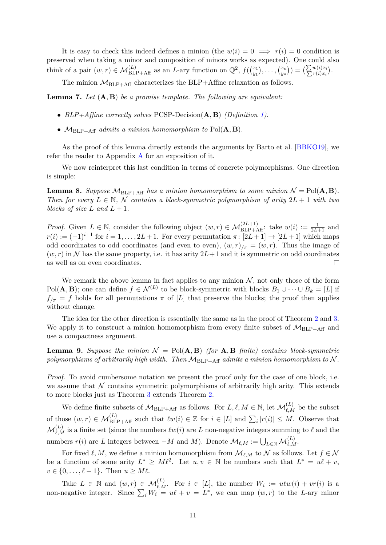It is easy to check this indeed defines a minion (the  $w(i) = 0 \implies r(i) = 0$  condition is preserved when taking a minor and composition of minors works as expected). One could also think of a pair  $(w, r) \in \mathcal{M}_{\text{BLP+Aff}}^{(L)}$  as an L-ary function on  $\mathbb{Q}^2$ ,  $f\left(\binom{x_1}{y_1}, \ldots, x_n\right)$  $\binom{x_1}{y_1},\ldots,\binom{x_n}{y_n}$  $\binom{x_n}{y_n}) = \bigl(\frac{\sum w(i)x_i}{\sum r(i)x_i}\bigr).$ 

The minion  $M_{BLP+Aff}$  characterizes the BLP+Affine relaxation as follows.

<span id="page-10-0"></span>**Lemma 7.** *Let* (A, B) *be a promise template. The following are equivalent:*

- *BLP+Affine correctly solves* PCSP-Decision(A, B) *(Definition [1\)](#page-5-2).*
- $M_{BLP+Aff}$  *admits a minion homomorphism to*  $Pol(A, B)$ *.*

As the proof of this lemma directly extends the arguments by Barto et al. [\[BBKO19\]](#page-15-7), we refer the reader to Appendix [A](#page-13-0) for an exposition of it.

We now reinterpret this last condition in terms of concrete polymorphisms. One direction is simple:

<span id="page-10-1"></span>**Lemma 8.** *Suppose*  $M_{BLP+Aff}$  *has a minion homomorphism to some minion*  $\mathcal{N} = Pol(\mathbf{A}, \mathbf{B})$ *. Then for every*  $L \in \mathbb{N}$ , N *contains a block-symmetric polymorphism of arity*  $2L + 1$  *with two blocks of size*  $L$  *and*  $L + 1$ *.* 

*Proof.* Given  $L \in \mathbb{N}$ , consider the following object  $(w, r) \in \mathcal{M}_{BLP+Aff}^{(2L+1)}$ : take  $w(i) := \frac{1}{2L+1}$  and  $r(i) := (-1)^{i+1}$  for  $i = 1, \ldots, 2L+1$ . For every permutation  $\pi \colon [2L+1] \to [2L+1]$  which maps odd coordinates to odd coordinates (and even to even),  $(w, r)_{/\pi} = (w, r)$ . Thus the image of  $(w, r)$  in N has the same property, i.e. it has arity  $2L+1$  and it is symmetric on odd coordinates as well as on even coordinates.  $\Box$ 

We remark the above lemma in fact applies to any minion  $N$ , not only those of the form Pol(**A**, **B**); one can define  $f \in \mathcal{N}^{(L)}$  to be block-symmetric with blocks  $B_1 \cup \cdots \cup B_k = [L]$  if  $f_{/\pi} = f$  holds for all permutations  $\pi$  of [L] that preserve the blocks; the proof then applies without change.

The idea for the other direction is essentially the same as in the proof of Theorem [2](#page-5-0) and [3.](#page-7-0) We apply it to construct a minion homomorphism from every finite subset of  $M_{BLP+Aff}$  and use a compactness argument.

<span id="page-10-2"></span>**Lemma 9.** Suppose the minion  $\mathcal{N} = \text{Pol}(\mathbf{A}, \mathbf{B})$  *(for*  $\mathbf{A}, \mathbf{B}$  *finite) contains block-symmetric* polymorphisms of arbitrarily high width. Then  $M_{BLP+Aff}$  *admits a minion homomorphism to* N.

*Proof.* To avoid cumbersome notation we present the proof only for the case of one block, i.e. we assume that  $N$  contains symmetric polymorphisms of arbitrarily high arity. This extends to more blocks just as Theorem [3](#page-7-0) extends Theorem [2.](#page-5-0)

We define finite subsets of  $\mathcal{M}_{\text{BLP+Aff}}$  as follows. For  $L, \ell, M \in \mathbb{N}$ , let  $\mathcal{M}_{\ell,M}^{(L)}$  be the subset of those  $(w, r) \in \mathcal{M}_{\text{BLP+Aff}}^{(L)}$  such that  $\ell w(i) \in \mathbb{Z}$  for  $i \in [L]$  and  $\sum_i |r(i)| \leq M$ . Observe that  $\mathcal{M}^{(L)}_{\ell,M}$  is a finite set (since the numbers  $\ell w(i)$  are L non-negative integers summing to  $\ell$  and the numbers  $r(i)$  are L integers between  $-M$  and M). Denote  $\mathcal{M}_{\ell,M} := \bigcup_{L \in \mathbb{N}} \mathcal{M}_{\ell,M}^{(L)}$ .

For fixed  $\ell, M$ , we define a minion homomorphism from  $\mathcal{M}_{\ell,M}$  to N as follows. Let  $f \in \mathcal{N}$ be a function of some arity  $L^* \geq M\ell^2$ . Let  $u, v \in \mathbb{N}$  be numbers such that  $L^* = u\ell + v$ ,  $v \in \{0, \ldots, \ell - 1\}$ . Then  $u \geq M \ell$ .

Take  $L \in \mathbb{N}$  and  $(w,r) \in \mathcal{M}_{\ell,M}^{(L)}$ . For  $i \in [L]$ , the number  $W_i := u \ell w(i) + v r(i)$  is a non-negative integer. Since  $\sum_i W_i = u\ell + v = L^*$ , we can map  $(w, r)$  to the L-ary minor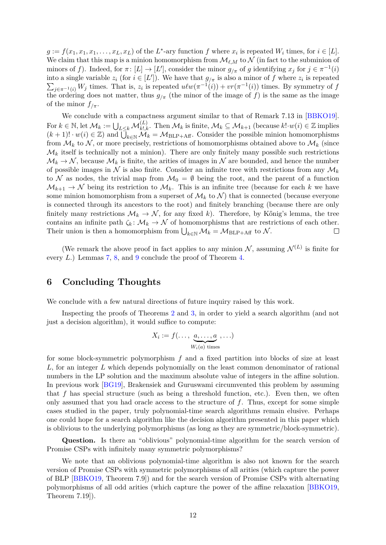$g := f(x_1, x_1, x_1, \dots, x_L, x_L)$  of the  $L^*$ -ary function f where  $x_i$  is repeated  $W_i$  times, for  $i \in [L]$ . We claim that this map is a minion homomorphism from  $\mathcal{M}_{\ell,M}$  to  $\mathcal N$  (in fact to the subminion of minors of f). Indeed, for  $\pi: [L] \to [L']$ , consider the minor  $g_{/\pi}$  of g identifying  $x_j$  for  $j \in \pi^{-1}(i)$ into a single variable  $z_i$  (for  $i \in [L']$ ). We have that  $g_{/\pi}$  is also a minor of f where  $z_i$  is repeated  $\sum_{j \in \pi^{-1}(i)} W_j$  times. That is,  $z_i$  is repeated  $u \ell w(\pi^{-1}(i)) + v r(\pi^{-1}(i))$  times. By symmetry of f the ordering does not matter, thus  $g_{\pi}$  (the minor of the image of f) is the same as the image of the minor  $f_{/\pi}$ .

We conclude with a compactness argument similar to that of Remark 7.13 in [\[BBKO19\]](#page-15-7). For  $k \in \mathbb{N}$ , let  $\mathcal{M}_k := \bigcup_{L \leq k} \mathcal{M}_{k, k}^{(L)}$ . Then  $\mathcal{M}_k$  is finite,  $\mathcal{M}_k \subseteq \mathcal{M}_{k+1}$  (because  $k! \cdot w(i) \in \mathbb{Z}$  implies  $(k+1)! \cdot w(i) \in \mathbb{Z}$  and  $\overline{\bigcup}_{k \in \mathbb{N}}^{\infty} \mathcal{M}_k = \mathcal{M}_{\text{BLP+Aff}}$ . Consider the possible minion homomorphisms from  $\mathcal{M}_k$  to  $\mathcal{N}_k$ , or more precisely, restrictions of homomorphisms obtained above to  $\mathcal{M}_k$  (since  $\mathcal{M}_k$  itself is technically not a minion). There are only finitely many possible such restrictions  $\mathcal{M}_k \to \mathcal{N}$ , because  $\mathcal{M}_k$  is finite, the arities of images in N are bounded, and hence the number of possible images in N is also finite. Consider an infinite tree with restrictions from any  $\mathcal{M}_k$ to N as nodes, the trivial map from  $\mathcal{M}_0 = \emptyset$  being the root, and the parent of a function  $\mathcal{M}_{k+1} \to \mathcal{N}$  being its restriction to  $\mathcal{M}_k$ . This is an infinite tree (because for each k we have some minion homomorphism from a superset of  $\mathcal{M}_k$  to  $\mathcal{N}$ ) that is connected (because everyone is connected through its ancestors to the root) and finitely branching (because there are only finitely many restrictions  $\mathcal{M}_k \to \mathcal{N}$ , for any fixed k). Therefore, by Kőnig's lemma, the tree contains an infinite path  $\zeta_k : \mathcal{M}_k \to \mathcal{N}$  of homomorphisms that are restrictions of each other. Their union is then a homomorphism from  $\bigcup_{k\in\mathbb{N}}\mathcal{M}_k = \mathcal{M}_{\text{BLP+Aff}}$  to  $\mathcal{N}$ .  $\Box$ 

(We remark the above proof in fact applies to any minion  $\mathcal{N}$ , assuming  $\mathcal{N}^{(L)}$  is finite for every L.) Lemmas [7,](#page-10-0) [8,](#page-10-1) and [9](#page-10-2) conclude the proof of Theorem [4.](#page-8-0)

## <span id="page-11-0"></span>**6 Concluding Thoughts**

We conclude with a few natural directions of future inquiry raised by this work.

Inspecting the proofs of Theorems [2](#page-5-0) and [3,](#page-7-0) in order to yield a search algorithm (and not just a decision algorithm), it would suffice to compute:

$$
X_i := f(\ldots, \underbrace{a, \ldots, a}_{W_i(a) \text{ times}}, \ldots)
$$

for some block-symmetric polymorphism  $f$  and a fixed partition into blocks of size at least  $L$ , for an integer  $L$  which depends polynomially on the least common denominator of rational numbers in the LP solution and the maximum absolute value of integers in the affine solution. In previous work [\[BG19\]](#page-15-4), Brakensiek and Guruswami circumvented this problem by assuming that  $f$  has special structure (such as being a threshold function, etc.). Even then, we often only assumed that you had oracle access to the structure of  $f$ . Thus, except for some simple cases studied in the paper, truly polynomial-time search algorithms remain elusive. Perhaps one could hope for a search algorithm like the decision algorithm presented in this paper which is oblivious to the underlying polymorphisms (as long as they are symmetric/block-symmetric).

**Question.** Is there an "oblivious" polynomial-time algorithm for the search version of Promise CSPs with infinitely many symmetric polymorphisms?

We note that an oblivious polynomial-time algorithm is also not known for the search version of Promise CSPs with symmetric polymorphisms of all arities (which capture the power of BLP [\[BBKO19,](#page-15-7) Theorem 7.9]) and for the search version of Promise CSPs with alternating polymorphisms of all odd arities (which capture the power of the affine relaxation [\[BBKO19,](#page-15-7) Theorem 7.19]).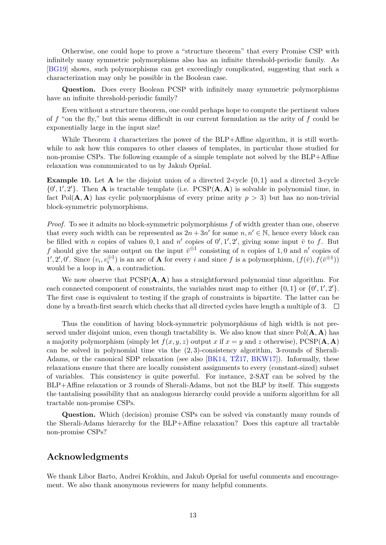Otherwise, one could hope to prove a "structure theorem" that every Promise CSP with infinitely many symmetric polymorphisms also has an infinite threshold-periodic family. As [\[BG19\]](#page-15-4) shows, such polymorphisms can get exceedingly complicated, suggesting that such a characterization may only be possible in the Boolean case.

**Question.** Does every Boolean PCSP with infinitely many symmetric polymorphisms have an infinite threshold-periodic family?

Even without a structure theorem, one could perhaps hope to compute the pertinent values of f "on the fly," but this seems difficult in our current formulation as the arity of f could be exponentially large in the input size!

While Theorem [4](#page-8-0) characterizes the power of the BLP+Affine algorithm, it is still worthwhile to ask how this compares to other classes of templates, in particular those studied for non-promise CSPs. The following example of a simple template not solved by the BLP+Affine relaxation was communicated to us by Jakub Opršal.

**Example 10.** Let  $A$  be the disjoint union of a directed 2-cycle  $\{0, 1\}$  and a directed 3-cycle  $\{0', 1', 2'\}$ . Then **A** is tractable template (i.e. PCSP(**A**, **A**) is solvable in polynomial time, in fact Pol( $\mathbf{A}, \mathbf{A}$ ) has cyclic polymorphisms of every prime arity  $p > 3$ ) but has no non-trivial block-symmetric polymorphisms.

*Proof.* To see it admits no block-symmetric polymorphisms f of width greater than one, observe that every such width can be represented as  $2n + 3n'$  for some  $n, n' \in \mathbb{N}$ , hence every block can be filled with *n* copies of values 0, 1 and *n'* copies of  $0', 1', 2'$ , giving some input  $\bar{v}$  to f. But f should give the same output on the input  $\bar{v}^{\oplus 1}$  consisting of n copies of 1,0 and n' copies of 1', 2', 0'. Since  $(v_i, v_i^{\oplus 1})$  is an arc of **A** for every i and since f is a polymorphism,  $(f(\bar{v}), f(\bar{v}^{\oplus 1}))$ would be a loop in A, a contradiction.

We now observe that  $PCSP(A, A)$  has a straightforward polynomial time algorithm. For each connected component of constraints, the variables must map to either  $\{0, 1\}$  or  $\{0', 1', 2'\}$ . The first case is equivalent to testing if the graph of constraints is bipartite. The latter can be done by a breath-first search which checks that all directed cycles have length a multiple of 3.  $\Box$ 

Thus the condition of having block-symmetric polymorphisms of high width is not preserved under disjoint union, even though tractability is. We also know that since  $Pol(A, A)$  has a majority polymorphism (simply let  $f(x, y, z)$  output x if  $x = y$  and z otherwise), PCSP(A, A) can be solved in polynomial time via the  $(2, 3)$ -consistency algorithm, 3-rounds of Sherali-Adams, or the canonical SDP relaxation (see also [\[BK14,](#page-15-9) [TŽ17,](#page--1-11) [BKW17\]](#page-15-5)). Informally, these relaxations ensure that there are locally consistent assignments to every (constant-sized) subset of variables. This consistency is quite powerful. For instance, 2-SAT can be solved by the BLP+Affine relaxation or 3 rounds of Sherali-Adams, but not the BLP by itself. This suggests the tantalising possibility that an analogous hierarchy could provide a uniform algorithm for all tractable non-promise CSPs.

**Question.** Which (decision) promise CSPs can be solved via constantly many rounds of the Sherali-Adams hierarchy for the BLP+Affine relaxation? Does this capture all tractable non-promise CSPs?

### **Acknowledgments**

We thank Libor Barto, Andrei Krokhin, and Jakub Opršal for useful comments and encouragement. We also thank anonymous reviewers for many helpful comments.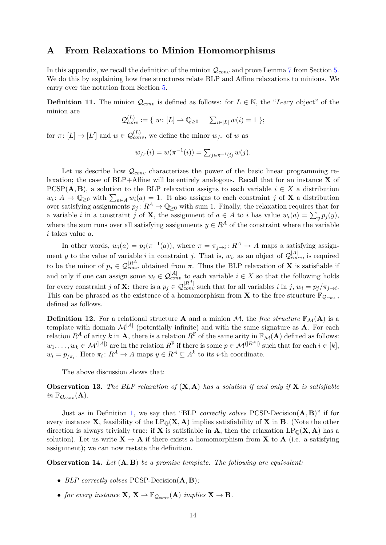### <span id="page-13-0"></span>**A From Relaxations to Minion Homomorphisms**

In this appendix, we recall the definition of the minion  $Q_{conv}$  and prove Lemma [7](#page-10-0) from Section [5.](#page-8-2) We do this by explaining how free structures relate BLP and Affine relaxations to minions. We carry over the notation from Section [5.](#page-8-2)

**Definition 11.** The minion  $\mathcal{Q}_{conv}$  is defined as follows: for  $L \in \mathbb{N}$ , the "L-ary object" of the minion are

$$
\mathcal{Q}_{conv}^{(L)} := \{ w : [L] \to \mathbb{Q}_{\geq 0} \mid \sum_{i \in [L]} w(i) = 1 \};
$$

for  $\pi \colon [L] \to [L']$  and  $w \in \mathcal{Q}_{conv}^{(L)}$ , we define the minor  $w_{/\pi}$  of w as

$$
w_{/\pi}(i) = w(\pi^{-1}(i)) = \sum_{j \in \pi^{-1}(i)} w(j).
$$

Let us describe how  $\mathcal{Q}_{conv}$  characterizes the power of the basic linear programming relaxation; the case of  $BLP+Affine$  will be entirely analogous. Recall that for an instance  $X$  of PCSP(A, B), a solution to the BLP relaxation assigns to each variable  $i \in X$  a distribution  $w_i: A \to \mathbb{Q}_{\geq 0}$  with  $\sum_{a \in A} w_i(a) = 1$ . It also assigns to each constraint j of **X** a distribution over satisfying assignments  $p_j: R^A \to \mathbb{Q}_{\geq 0}$  with sum 1. Finally, the relaxation requires that for a variable *i* in a constraint *j* of **X**, the assignment of  $a \in A$  to *i* has value  $w_i(a) = \sum_y p_j(y)$ , where the sum runs over all satisfying assignments  $y \in R^A$  of the constraint where the variable i takes value a.

In other words,  $w_i(a) = p_j(\pi^{-1}(a))$ , where  $\pi = \pi_{j \to i}: R^A \to A$  maps a satisfying assignment y to the value of variable i in constraint j. That is,  $w_i$ , as an object of  $\mathcal{Q}_{conv}^{[A]}$ , is required to be the minor of  $p_j \in \mathcal{Q}_{conv}^{[R^A]}$  obtained from  $\pi$ . Thus the BLP relaxation of **X** is satisfiable if and only if one can assign some  $w_i \in \mathcal{Q}_{conv}^{|\mathcal{A}|}$  to each variable  $i \in X$  so that the following holds for every constraint j of **X**: there is a  $p_j \in \mathcal{Q}_{conv}^{[R^A]}$  such that for all variables i in j,  $w_i = p_j/\pi_{j \to i}$ . This can be phrased as the existence of a homomorphism from **X** to the free structure  $\mathbb{F}_{Q_{conv}}$ , defined as follows.

**Definition 12.** For a relational structure **A** and a minion M, the *free structure*  $\mathbb{F}_{M}(A)$  is a template with domain  $\mathcal{M}^{|A|}$  (potentially infinite) and with the same signature as **A**. For each relation  $R^A$  of arity k in **A**, there is a relation  $R^{\mathbb{F}}$  of the same arity in  $\mathbb{F}_{\mathcal{M}}(A)$  defined as follows:  $w_1,\ldots,w_k\in\mathcal{M}^{(|A|)}$  are in the relation  $R^{\mathbb{F}}$  if there is some  $p\in\mathcal{M}^{(|R^A|)}$  such that for each  $i\in[k],$  $w_i = p_{\pi_i}$ . Here  $\pi_i: R^A \to A$  maps  $y \in R^A \subseteq A^k$  to its *i*-th coordinate.

The above discussion shows that:

**Observation 13.** *The BLP relaxation of* (X, A) *has a solution if and only if* X *is satisfiable in*  $\mathbb{F}_{\mathcal{Q}_{conv}}(\mathbf{A})$ .

Just as in Definition [1,](#page-5-2) we say that "BLP *correctly solves* PCSP-Decision(A, B)" if for every instance **X**, feasibility of the  $LP_0(X, A)$  implies satisfiability of **X** in **B**. (Note the other direction is always trivially true: if **X** is satisfiable in **A**, then the relaxation  $LP_{\mathbb{Q}}(X, A)$  has a solution). Let us write  $X \to A$  if there exists a homomorphism from X to A (i.e. a satisfying assignment); we can now restate the definition.

**Observation 14.** *Let* (A, B) *be a promise template. The following are equivalent:*

- *BLP correctly solves* PCSP-Decision(A, B)*;*
- *for every instance*  $X, X \to \mathbb{F}_{Q_{conv}}(A)$  *implies*  $X \to B$ *.*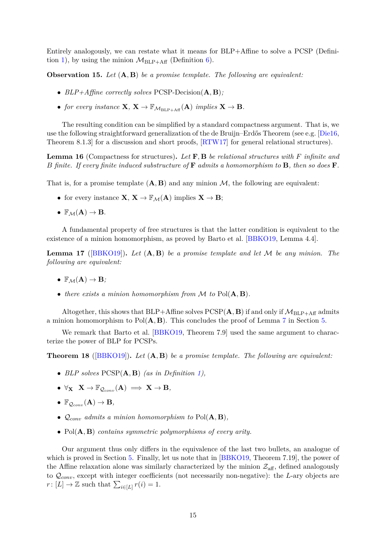Entirely analogously, we can restate what it means for BLP+Affine to solve a PCSP (Defini-tion [1\)](#page-5-2), by using the minion  $\mathcal{M}_{BLP+Aff}$  (Definition [6\)](#page-9-1).

**Observation 15.** *Let* (A, B) *be a promise template. The following are equivalent:*

- *BLP+Affine correctly solves* PCSP-Decision(A, B)*;*
- *for every instance*  $X, X \to \mathbb{F}_{M_{\text{BLP+Aff}}}(A)$  *implies*  $X \to B$ *.*

The resulting condition can be simplified by a standard compactness argument. That is, we use the following straightforward generalization of the de Bruijn–Erdős Theorem (see e.g. [\[Die16,](#page-15-11) Theorem 8.1.3 for a discussion and short proofs,  $\text{RTW17}$  for general relational structures).

**Lemma 16** (Compactness for structures)**.** *Let* F, B *be relational structures with* F *infinite and* B *finite. If every finite induced substructure of* F *admits a homomorphism to* B*, then so does* F*.*

That is, for a promise template  $(A, B)$  and any minion M, the following are equivalent:

- for every instance  $X, X \to \mathbb{F}_M(A)$  implies  $X \to B$ ;
- $\mathbb{F}_M(A) \to B$ .

A fundamental property of free structures is that the latter condition is equivalent to the existence of a minion homomorphism, as proved by Barto et al. [\[BBKO19,](#page-15-7) Lemma 4.4].

**Lemma 17** ([\[BBKO19\]](#page-15-7))**.** *Let* (A, B) *be a promise template and let* M *be any minion. The following are equivalent:*

- $\mathbb{F}_M(A) \to B$ ;
- *there exists a minion homomorphism from* M *to* Pol(A, B)*.*

Altogether, this shows that BLP+Affine solves  $PCSP(A, B)$  if and only if  $M_{BLP+Aff}$  admits a minion homomorphism to  $Pol(A, B)$ . This concludes the proof of Lemma [7](#page-10-0) in Section [5.](#page-8-2)

We remark that Barto et al. [\[BBKO19,](#page-15-7) Theorem 7.9] used the same argument to characterize the power of BLP for PCSPs.

**Theorem 18** ([\[BBKO19\]](#page-15-7))**.** *Let* (A, B) *be a promise template. The following are equivalent:*

- *BLP solves* PCSP(A, B) *(as in Definition [1\)](#page-5-2),*
- $\bullet \ \forall_{\mathbf{X}} \ \mathbf{X} \to \mathbb{F}_{Q_{\text{conn}}}(\mathbf{A}) \implies \mathbf{X} \to \mathbf{B},$
- $\mathbb{F}_{Q_{conv}}(\mathbf{A}) \to \mathbf{B}$ ,
- $Q_{conv}$  *admits a minion homomorphism to*  $Pol(A, B)$ *,*
- Pol(A, B) *contains symmetric polymorphisms of every arity.*

Our argument thus only differs in the equivalence of the last two bullets, an analogue of which is proved in Section [5.](#page-8-2) Finally, let us note that in [\[BBKO19,](#page-15-7) Theorem 7.19], the power of the Affine relaxation alone was similarly characterized by the minion  $\mathcal{Z}_{\text{aff}}$ , defined analogously to  $Q_{conv}$ , except with integer coefficients (not necessarily non-negative): the L-ary objects are  $r: [L] \to \mathbb{Z}$  such that  $\sum_{i \in [L]} r(i) = 1$ .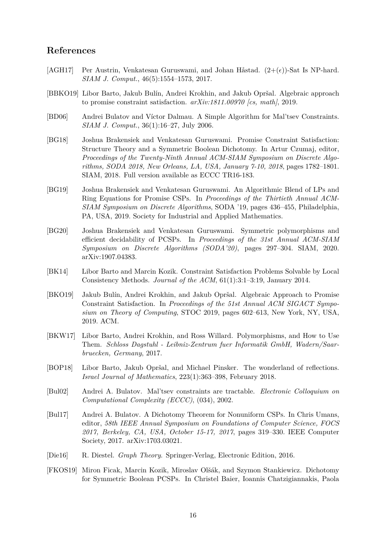### **References**

- <span id="page-15-2"></span>[AGH17] Per Austrin, Venkatesan Guruswami, and Johan Håstad.  $(2+(\epsilon))$ -Sat Is NP-hard. *SIAM J. Comput.*, 46(5):1554–1573, 2017.
- <span id="page-15-7"></span>[BBKO19] Libor Barto, Jakub Bulín, Andrei Krokhin, and Jakub Opršal. Algebraic approach to promise constraint satisfaction. *arXiv:1811.00970 [cs, math]*, 2019.
- <span id="page-15-1"></span>[BD06] Andrei Bulatov and Víctor Dalmau. A Simple Algorithm for Mal'tsev Constraints. *SIAM J. Comput.*, 36(1):16–27, July 2006.
- <span id="page-15-3"></span>[BG18] Joshua Brakensiek and Venkatesan Guruswami. Promise Constraint Satisfaction: Structure Theory and a Symmetric Boolean Dichotomy. In Artur Czumaj, editor, *Proceedings of the Twenty-Ninth Annual ACM-SIAM Symposium on Discrete Algorithms, SODA 2018, New Orleans, LA, USA, January 7-10, 2018*, pages 1782–1801. SIAM, 2018. Full version available as ECCC TR16-183.
- <span id="page-15-4"></span>[BG19] Joshua Brakensiek and Venkatesan Guruswami. An Algorithmic Blend of LPs and Ring Equations for Promise CSPs. In *Proceedings of the Thirtieth Annual ACM-SIAM Symposium on Discrete Algorithms*, SODA '19, pages 436–455, Philadelphia, PA, USA, 2019. Society for Industrial and Applied Mathematics.
- [BG20] Joshua Brakensiek and Venkatesan Guruswami. Symmetric polymorphisms and efficient decidability of PCSPs. In *Proceedings of the 31st Annual ACM-SIAM Symposium on Discrete Algorithms (SODA'20)*, pages 297–304. SIAM, 2020. arXiv:1907.04383.
- <span id="page-15-9"></span>[BK14] Libor Barto and Marcin Kozik. Constraint Satisfaction Problems Solvable by Local Consistency Methods. *Journal of the ACM*, 61(1):3:1–3:19, January 2014.
- <span id="page-15-6"></span>[BKO19] Jakub Bulín, Andrei Krokhin, and Jakub Opršal. Algebraic Approach to Promise Constraint Satisfaction. In *Proceedings of the 51st Annual ACM SIGACT Symposium on Theory of Computing*, STOC 2019, pages 602–613, New York, NY, USA, 2019. ACM.
- <span id="page-15-5"></span>[BKW17] Libor Barto, Andrei Krokhin, and Ross Willard. Polymorphisms, and How to Use Them. *Schloss Dagstuhl - Leibniz-Zentrum fuer Informatik GmbH, Wadern/Saarbruecken, Germany*, 2017.
- <span id="page-15-8"></span>[BOP18] Libor Barto, Jakub Opršal, and Michael Pinsker. The wonderland of reflections. *Israel Journal of Mathematics*, 223(1):363–398, February 2018.
- <span id="page-15-0"></span>[Bul02] Andrei A. Bulatov. Mal'tsev constraints are tractable. *Electronic Colloquium on Computational Complexity (ECCC)*, (034), 2002.
- [Bul17] Andrei A. Bulatov. A Dichotomy Theorem for Nonuniform CSPs. In Chris Umans, editor, *58th IEEE Annual Symposium on Foundations of Computer Science, FOCS 2017, Berkeley, CA, USA, October 15-17, 2017*, pages 319–330. IEEE Computer Society, 2017. arXiv:1703.03021.
- <span id="page-15-11"></span>[Die16] R. Diestel. *Graph Theory*. Springer-Verlag, Electronic Edition, 2016.
- <span id="page-15-10"></span>[FKOS19] Miron Ficak, Marcin Kozik, Miroslav Olšák, and Szymon Stankiewicz. Dichotomy for Symmetric Boolean PCSPs. In Christel Baier, Ioannis Chatzigiannakis, Paola